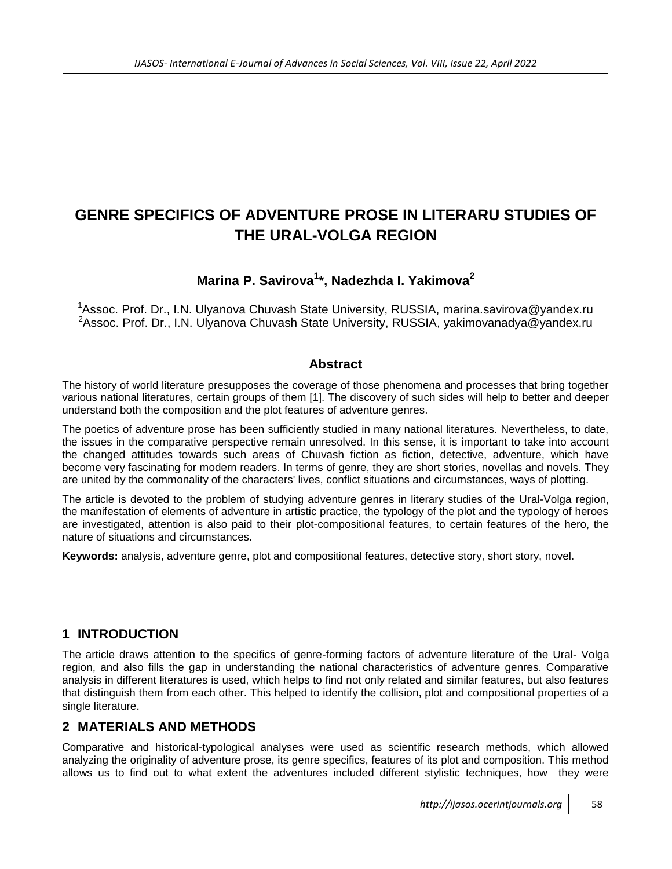# **GENRE SPECIFICS OF ADVENTURE PROSE IN LITERARU STUDIES OF THE URAL-VOLGA REGION**

# **Marina P. Savirova<sup>1</sup> \*, Nadezhda I. Yakimova<sup>2</sup>**

<sup>1</sup>Assoc. Prof. Dr., I.N. Ulyanova Chuvash State University, RUSSIA, marina.savirova@yandex.ru <sup>2</sup>Assoc. Prof. Dr., I.N. Ulyanova Chuvash State University, RUSSIA, yakimovanadya@yandex.ru

#### **Abstract**

The history of world literature presupposes the coverage of those phenomena and processes that bring together various national literatures, certain groups of them [1]. The discovery of such sides will help to better and deeper understand both the composition and the plot features of adventure genres.

The poetics of adventure prose has been sufficiently studied in many national literatures. Nevertheless, to date, the issues in the comparative perspective remain unresolved. In this sense, it is important to take into account the changed attitudes towards such areas of Chuvash fiction as fiction, detective, adventure, which have become very fascinating for modern readers. In terms of genre, they are short stories, novellas and novels. They are united by the commonality of the characters' lives, conflict situations and circumstances, ways of plotting.

The article is devoted to the problem of studying adventure genres in literary studies of the Ural-Volga region, the manifestation of elements of adventure in artistic practice, the typology of the plot and the typology of heroes are investigated, attention is also paid to their plot-compositional features, to certain features of the hero, the nature of situations and circumstances.

**Keywords:** analysis, adventure genre, plot and compositional features, detective story, short story, novel.

### **1 INTRODUCTION**

The article draws attention to the specifics of genre-forming factors of adventure literature of the Ural- Volga region, and also fills the gap in understanding the national characteristics of adventure genres. Comparative analysis in different literatures is used, which helps to find not only related and similar features, but also features that distinguish them from each other. This helped to identify the collision, plot and compositional properties of a single literature.

### **2 MATERIALS AND METHODS**

Comparative and historical-typological analyses were used as scientific research methods, which allowed analyzing the originality of adventure prose, its genre specifics, features of its plot and composition. This method allows us to find out to what extent the adventures included different stylistic techniques, how they were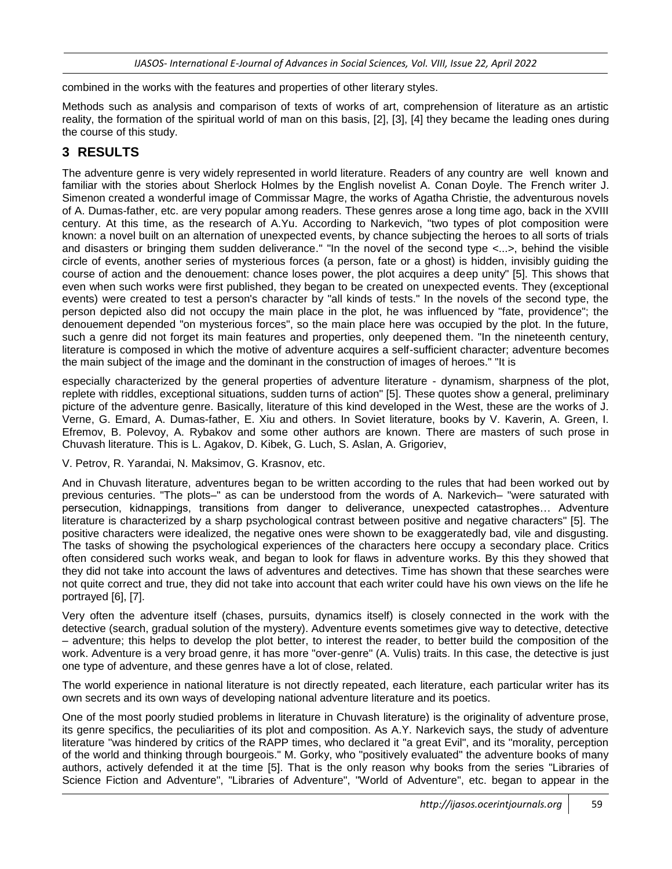*IJASOS- International E-Journal of Advances in Social Sciences, Vol. VIII, Issue 22, April 2022*

combined in the works with the features and properties of other literary styles.

Methods such as analysis and comparison of texts of works of art, comprehension of literature as an artistic reality, the formation of the spiritual world of man on this basis, [2], [3], [4] they became the leading ones during the course of this study.

## **3 RESULTS**

The adventure genre is very widely represented in world literature. Readers of any country are well known and familiar with the stories about Sherlock Holmes by the English novelist A. Conan Doyle. The French writer J. Simenon created a wonderful image of Commissar Magre, the works of Agatha Christie, the adventurous novels of A. Dumas-father, etc. are very popular among readers. These genres arose a long time ago, back in the XVIII century. At this time, as the research of A.Yu. According to Narkevich, "two types of plot composition were known: a novel built on an alternation of unexpected events, by chance subjecting the heroes to all sorts of trials and disasters or bringing them sudden deliverance." "In the novel of the second type <...>, behind the visible circle of events, another series of mysterious forces (a person, fate or a ghost) is hidden, invisibly guiding the course of action and the denouement: chance loses power, the plot acquires a deep unity" [5]. This shows that even when such works were first published, they began to be created on unexpected events. They (exceptional events) were created to test a person's character by "all kinds of tests." In the novels of the second type, the person depicted also did not occupy the main place in the plot, he was influenced by "fate, providence"; the denouement depended "on mysterious forces", so the main place here was occupied by the plot. In the future, such a genre did not forget its main features and properties, only deepened them. "In the nineteenth century, literature is composed in which the motive of adventure acquires a self-sufficient character; adventure becomes the main subject of the image and the dominant in the construction of images of heroes." "It is

especially characterized by the general properties of adventure literature - dynamism, sharpness of the plot, replete with riddles, exceptional situations, sudden turns of action" [5]. These quotes show a general, preliminary picture of the adventure genre. Basically, literature of this kind developed in the West, these are the works of J. Verne, G. Emard, A. Dumas-father, E. Xiu and others. In Soviet literature, books by V. Kaverin, A. Green, I. Efremov, B. Polevoy, A. Rybakov and some other authors are known. There are masters of such prose in Chuvash literature. This is L. Agakov, D. Kibek, G. Luch, S. Aslan, A. Grigoriev,

V. Petrov, R. Yarandai, N. Maksimov, G. Krasnov, etc.

And in Chuvash literature, adventures began to be written according to the rules that had been worked out by previous centuries. "The plots–" as can be understood from the words of A. Narkevich– "were saturated with persecution, kidnappings, transitions from danger to deliverance, unexpected catastrophes… Adventure literature is characterized by a sharp psychological contrast between positive and negative characters" [5]. The positive characters were idealized, the negative ones were shown to be exaggeratedly bad, vile and disgusting. The tasks of showing the psychological experiences of the characters here occupy a secondary place. Critics often considered such works weak, and began to look for flaws in adventure works. By this they showed that they did not take into account the laws of adventures and detectives. Time has shown that these searches were not quite correct and true, they did not take into account that each writer could have his own views on the life he portrayed [6], [7].

Very often the adventure itself (chases, pursuits, dynamics itself) is closely connected in the work with the detective (search, gradual solution of the mystery). Adventure events sometimes give way to detective, detective – adventure; this helps to develop the plot better, to interest the reader, to better build the composition of the work. Adventure is a very broad genre, it has more "over-genre" (A. Vulis) traits. In this case, the detective is just one type of adventure, and these genres have a lot of close, related.

The world experience in national literature is not directly repeated, each literature, each particular writer has its own secrets and its own ways of developing national adventure literature and its poetics.

One of the most poorly studied problems in literature in Chuvash literature) is the originality of adventure prose, its genre specifics, the peculiarities of its plot and composition. As A.Y. Narkevich says, the study of adventure literature "was hindered by critics of the RAPP times, who declared it "a great Evil", and its "morality, perception of the world and thinking through bourgeois." M. Gorky, who "positively evaluated" the adventure books of many authors, actively defended it at the time [5]. That is the only reason why books from the series "Libraries of Science Fiction and Adventure", "Libraries of Adventure", "World of Adventure", etc. began to appear in the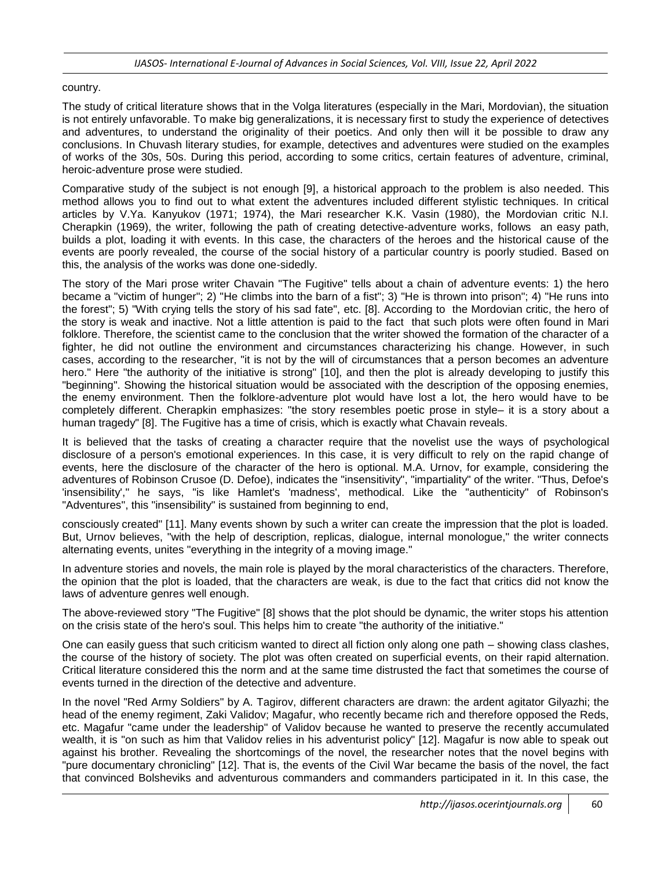#### country.

The study of critical literature shows that in the Volga literatures (especially in the Mari, Mordovian), the situation is not entirely unfavorable. To make big generalizations, it is necessary first to study the experience of detectives and adventures, to understand the originality of their poetics. And only then will it be possible to draw any conclusions. In Chuvash literary studies, for example, detectives and adventures were studied on the examples of works of the 30s, 50s. During this period, according to some critics, certain features of adventure, criminal, heroic-adventure prose were studied.

Comparative study of the subject is not enough [9], a historical approach to the problem is also needed. This method allows you to find out to what extent the adventures included different stylistic techniques. In critical articles by V.Ya. Kanyukov (1971; 1974), the Mari researcher K.K. Vasin (1980), the Mordovian critic N.I. Cherapkin (1969), the writer, following the path of creating detective-adventure works, follows an easy path, builds a plot, loading it with events. In this case, the characters of the heroes and the historical cause of the events are poorly revealed, the course of the social history of a particular country is poorly studied. Based on this, the analysis of the works was done one-sidedly.

The story of the Mari prose writer Chavain "The Fugitive" tells about a chain of adventure events: 1) the hero became a "victim of hunger"; 2) "He climbs into the barn of a fist"; 3) "He is thrown into prison"; 4) "He runs into the forest"; 5) "With crying tells the story of his sad fate", etc. [8]. According to the Mordovian critic, the hero of the story is weak and inactive. Not a little attention is paid to the fact that such plots were often found in Mari folklore. Therefore, the scientist came to the conclusion that the writer showed the formation of the character of a fighter, he did not outline the environment and circumstances characterizing his change. However, in such cases, according to the researcher, "it is not by the will of circumstances that a person becomes an adventure hero." Here "the authority of the initiative is strong" [10], and then the plot is already developing to justify this "beginning". Showing the historical situation would be associated with the description of the opposing enemies, the enemy environment. Then the folklore-adventure plot would have lost a lot, the hero would have to be completely different. Cherapkin emphasizes: "the story resembles poetic prose in style– it is a story about a human tragedy" [8]. The Fugitive has a time of crisis, which is exactly what Chavain reveals.

It is believed that the tasks of creating a character require that the novelist use the ways of psychological disclosure of a person's emotional experiences. In this case, it is very difficult to rely on the rapid change of events, here the disclosure of the character of the hero is optional. M.A. Urnov, for example, considering the adventures of Robinson Crusoe (D. Defoe), indicates the "insensitivity", "impartiality" of the writer. "Thus, Defoe's 'insensibility'," he says, "is like Hamlet's 'madness', methodical. Like the "authenticity" of Robinson's "Adventures", this "insensibility" is sustained from beginning to end,

consciously created" [11]. Many events shown by such a writer can create the impression that the plot is loaded. But, Urnov believes, "with the help of description, replicas, dialogue, internal monologue," the writer connects alternating events, unites "everything in the integrity of a moving image."

In adventure stories and novels, the main role is played by the moral characteristics of the characters. Therefore, the opinion that the plot is loaded, that the characters are weak, is due to the fact that critics did not know the laws of adventure genres well enough.

The above-reviewed story "The Fugitive" [8] shows that the plot should be dynamic, the writer stops his attention on the crisis state of the hero's soul. This helps him to create "the authority of the initiative."

One can easily guess that such criticism wanted to direct all fiction only along one path – showing class clashes, the course of the history of society. The plot was often created on superficial events, on their rapid alternation. Critical literature considered this the norm and at the same time distrusted the fact that sometimes the course of events turned in the direction of the detective and adventure.

In the novel "Red Army Soldiers" by A. Tagirov, different characters are drawn: the ardent agitator Gilyazhi; the head of the enemy regiment, Zaki Validov; Magafur, who recently became rich and therefore opposed the Reds, etc. Magafur "came under the leadership" of Validov because he wanted to preserve the recently accumulated wealth, it is "on such as him that Validov relies in his adventurist policy" [12]. Magafur is now able to speak out against his brother. Revealing the shortcomings of the novel, the researcher notes that the novel begins with "pure documentary chronicling" [12]. That is, the events of the Civil War became the basis of the novel, the fact that convinced Bolsheviks and adventurous commanders and commanders participated in it. In this case, the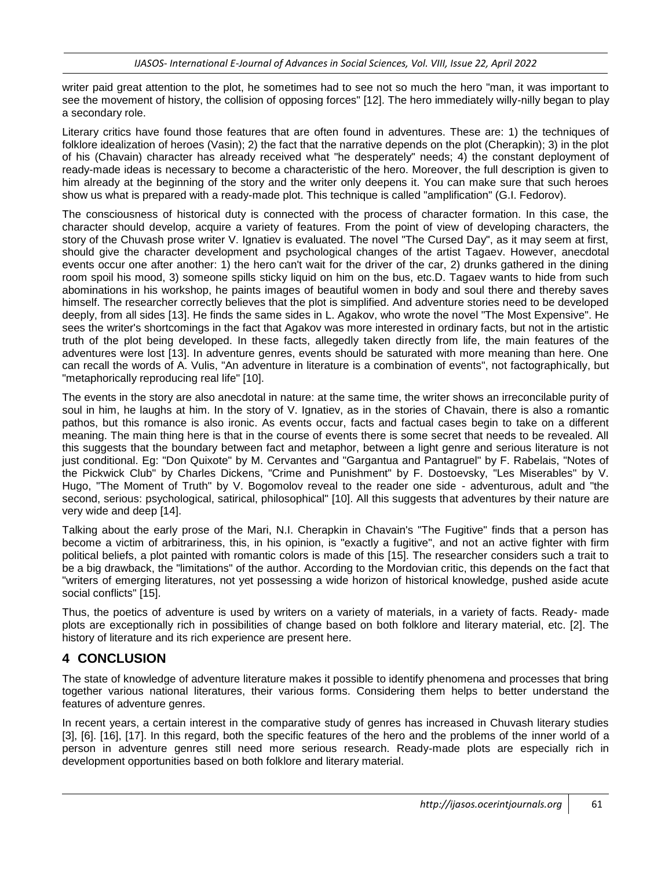writer paid great attention to the plot, he sometimes had to see not so much the hero "man, it was important to see the movement of history, the collision of opposing forces" [12]. The hero immediately willy-nilly began to play a secondary role.

Literary critics have found those features that are often found in adventures. These are: 1) the techniques of folklore idealization of heroes (Vasin); 2) the fact that the narrative depends on the plot (Cherapkin); 3) in the plot of his (Chavain) character has already received what "he desperately" needs; 4) the constant deployment of ready-made ideas is necessary to become a characteristic of the hero. Moreover, the full description is given to him already at the beginning of the story and the writer only deepens it. You can make sure that such heroes show us what is prepared with a ready-made plot. This technique is called "amplification" (G.I. Fedorov).

The consciousness of historical duty is connected with the process of character formation. In this case, the character should develop, acquire a variety of features. From the point of view of developing characters, the story of the Chuvash prose writer V. Ignatiev is evaluated. The novel "The Cursed Day", as it may seem at first, should give the character development and psychological changes of the artist Tagaev. However, anecdotal events occur one after another: 1) the hero can't wait for the driver of the car, 2) drunks gathered in the dining room spoil his mood, 3) someone spills sticky liquid on him on the bus, etc.D. Tagaev wants to hide from such abominations in his workshop, he paints images of beautiful women in body and soul there and thereby saves himself. The researcher correctly believes that the plot is simplified. And adventure stories need to be developed deeply, from all sides [13]. He finds the same sides in L. Agakov, who wrote the novel "The Most Expensive". He sees the writer's shortcomings in the fact that Agakov was more interested in ordinary facts, but not in the artistic truth of the plot being developed. In these facts, allegedly taken directly from life, the main features of the adventures were lost [13]. In adventure genres, events should be saturated with more meaning than here. One can recall the words of A. Vulis, "An adventure in literature is a combination of events", not factographically, but "metaphorically reproducing real life" [10].

The events in the story are also anecdotal in nature: at the same time, the writer shows an irreconcilable purity of soul in him, he laughs at him. In the story of V. Ignatiev, as in the stories of Chavain, there is also a romantic pathos, but this romance is also ironic. As events occur, facts and factual cases begin to take on a different meaning. The main thing here is that in the course of events there is some secret that needs to be revealed. All this suggests that the boundary between fact and metaphor, between a light genre and serious literature is not just conditional. Eg: "Don Quixote" by M. Cervantes and "Gargantua and Pantagruel" by F. Rabelais, "Notes of the Pickwick Club" by Charles Dickens, "Crime and Punishment" by F. Dostoevsky, "Les Miserables" by V. Hugo, "The Moment of Truth" by V. Bogomolov reveal to the reader one side - adventurous, adult and "the second, serious: psychological, satirical, philosophical" [10]. All this suggests that adventures by their nature are very wide and deep [14].

Talking about the early prose of the Mari, N.I. Cherapkin in Chavain's "The Fugitive" finds that a person has become a victim of arbitrariness, this, in his opinion, is "exactly a fugitive", and not an active fighter with firm political beliefs, a plot painted with romantic colors is made of this [15]. The researcher considers such a trait to be a big drawback, the "limitations" of the author. According to the Mordovian critic, this depends on the fact that "writers of emerging literatures, not yet possessing a wide horizon of historical knowledge, pushed aside acute social conflicts" [15].

Thus, the poetics of adventure is used by writers on a variety of materials, in a variety of facts. Ready- made plots are exceptionally rich in possibilities of change based on both folklore and literary material, etc. [2]. The history of literature and its rich experience are present here.

# **4 CONCLUSION**

The state of knowledge of adventure literature makes it possible to identify phenomena and processes that bring together various national literatures, their various forms. Considering them helps to better understand the features of adventure genres.

In recent years, a certain interest in the comparative study of genres has increased in Chuvash literary studies [3], [6]. [16], [17]. In this regard, both the specific features of the hero and the problems of the inner world of a person in adventure genres still need more serious research. Ready-made plots are especially rich in development opportunities based on both folklore and literary material.